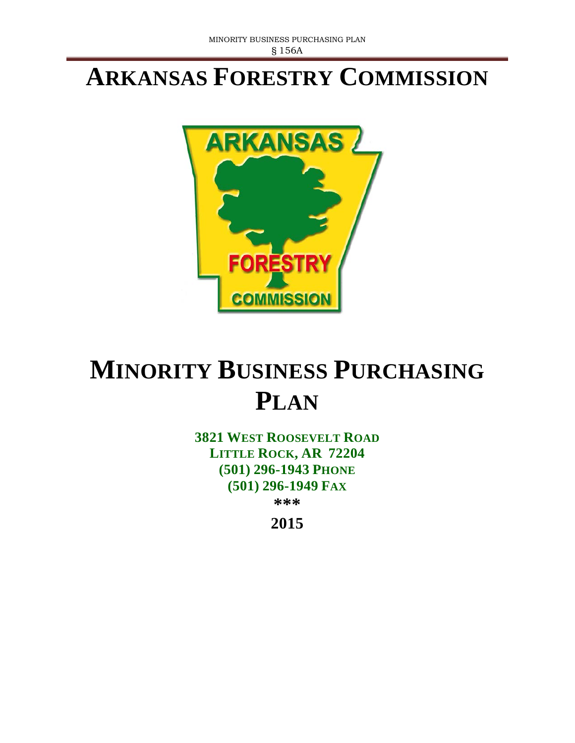## **ARKANSAS FORESTRY COMMISSION**



# **MINORITY BUSINESS PURCHASING PLAN**

**3821 WEST ROOSEVELT ROAD LITTLE ROCK, AR 72204 (501) 296-1943 PHONE (501) 296-1949 FAX** 

**\*\*\***

**2015**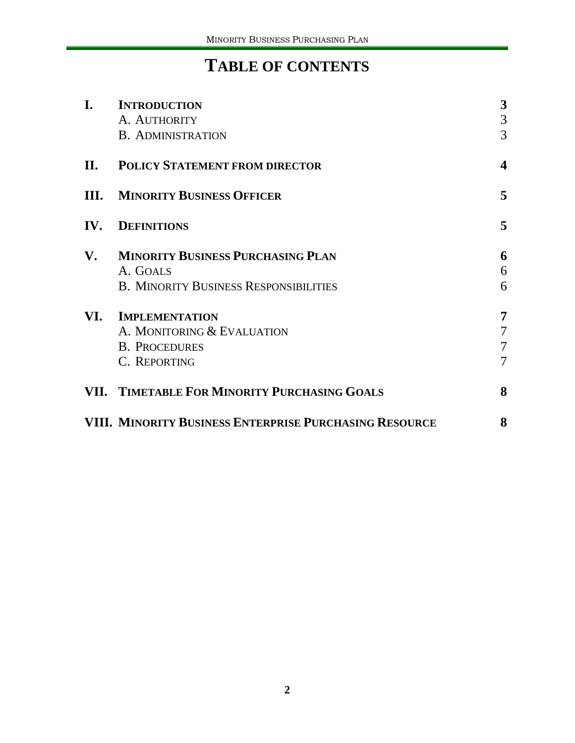### **TABLE OF CONTENTS**

| I.   | <b>INTRODUCTION</b>                                    |                         |
|------|--------------------------------------------------------|-------------------------|
|      | A. AUTHORITY                                           | 3<br>$\mathfrak{Z}$     |
|      | <b>B. ADMINISTRATION</b>                               | 3                       |
| II.  | <b>POLICY STATEMENT FROM DIRECTOR</b>                  | $\overline{\mathbf{4}}$ |
| III. | <b>MINORITY BUSINESS OFFICER</b>                       | 5                       |
| IV.  | <b>DEFINITIONS</b>                                     | 5                       |
| V.   | <b>MINORITY BUSINESS PURCHASING PLAN</b>               | 6                       |
|      | A. GOALS                                               | 6                       |
|      | <b>B. MINORITY BUSINESS RESPONSIBILITIES</b>           | 6                       |
| VI.  | <b>IMPLEMENTATION</b>                                  | 7                       |
|      | A. MONITORING & EVALUATION                             | 7                       |
|      | <b>B. PROCEDURES</b>                                   | 7                       |
|      | C. REPORTING                                           | 7                       |
|      | VII. TIMETABLE FOR MINORITY PURCHASING GOALS           | 8                       |
|      | VIII. MINORITY BUSINESS ENTERPRISE PURCHASING RESOURCE | 8                       |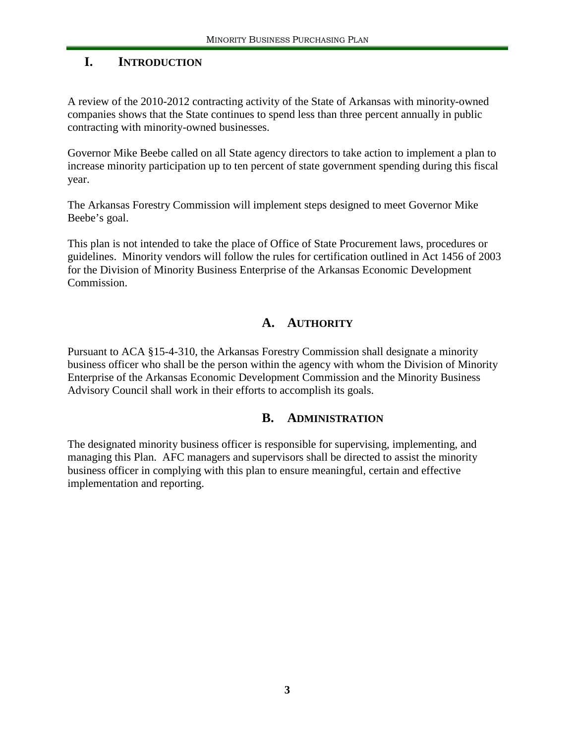#### **I. INTRODUCTION**

A review of the 2010-2012 contracting activity of the State of Arkansas with minority-owned companies shows that the State continues to spend less than three percent annually in public contracting with minority-owned businesses.

Governor Mike Beebe called on all State agency directors to take action to implement a plan to increase minority participation up to ten percent of state government spending during this fiscal year.

The Arkansas Forestry Commission will implement steps designed to meet Governor Mike Beebe's goal.

This plan is not intended to take the place of Office of State Procurement laws, procedures or guidelines. Minority vendors will follow the rules for certification outlined in Act 1456 of 2003 for the Division of Minority Business Enterprise of the Arkansas Economic Development Commission.

#### **A. AUTHORITY**

Pursuant to ACA §15-4-310, the Arkansas Forestry Commission shall designate a minority business officer who shall be the person within the agency with whom the Division of Minority Enterprise of the Arkansas Economic Development Commission and the Minority Business Advisory Council shall work in their efforts to accomplish its goals.

#### **B. ADMINISTRATION**

The designated minority business officer is responsible for supervising, implementing, and managing this Plan. AFC managers and supervisors shall be directed to assist the minority business officer in complying with this plan to ensure meaningful, certain and effective implementation and reporting.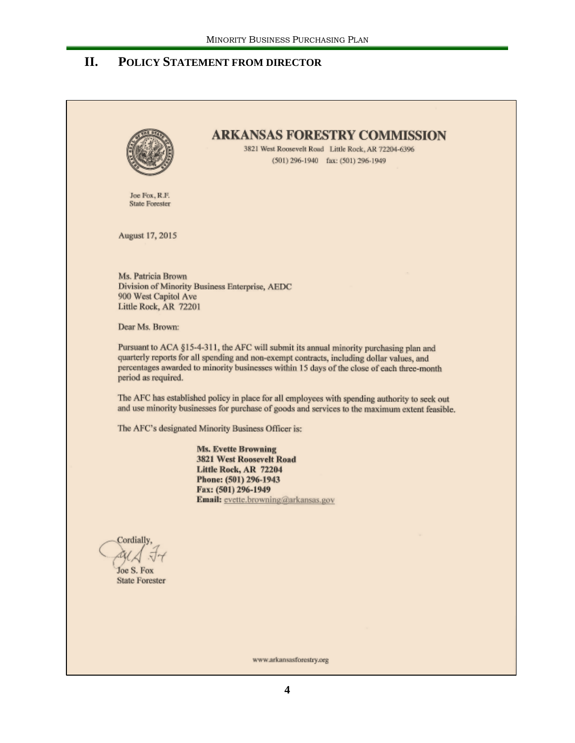#### **II. POLICY STATEMENT FROM DIRECTOR**

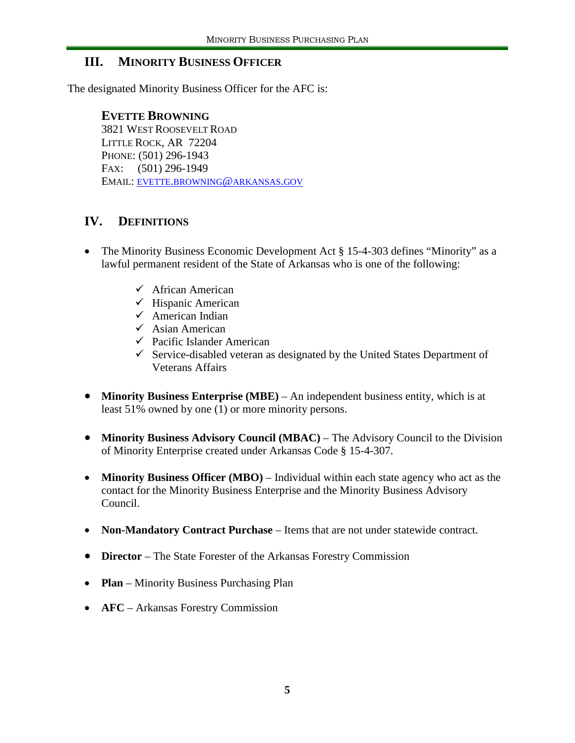#### **III. MINORITY BUSINESS OFFICER**

The designated Minority Business Officer for the AFC is:

#### **EVETTE BROWNING**

3821 WEST ROOSEVELT ROAD LITTLE ROCK, AR 72204 PHONE: (501) 296-1943 FAX: (501) 296-1949 EMAIL: [EVETTE.BROWNING@ARKANSAS.GOV](mailto:evette.browning@arkansas.gov)

#### **IV. DEFINITIONS**

- The Minority Business Economic Development Act § 15-4-303 defines "Minority" as a lawful permanent resident of the State of Arkansas who is one of the following:
	- $\checkmark$  African American
	- $\checkmark$  Hispanic American
	- $\checkmark$  American Indian
	- $\checkmark$  Asian American
	- $\checkmark$  Pacific Islander American
	- $\checkmark$  Service-disabled veteran as designated by the United States Department of Veterans Affairs
- **Minority Business Enterprise (MBE)** An independent business entity, which is at least 51% owned by one (1) or more minority persons.
- **Minority Business Advisory Council (MBAC)** The Advisory Council to the Division of Minority Enterprise created under Arkansas Code § 15-4-307.
- **Minority Business Officer (MBO)** Individual within each state agency who act as the contact for the Minority Business Enterprise and the Minority Business Advisory Council.
- **Non-Mandatory Contract Purchase** Items that are not under statewide contract.
- **Director** The State Forester of the Arkansas Forestry Commission
- **Plan** Minority Business Purchasing Plan
- **AFC** Arkansas Forestry Commission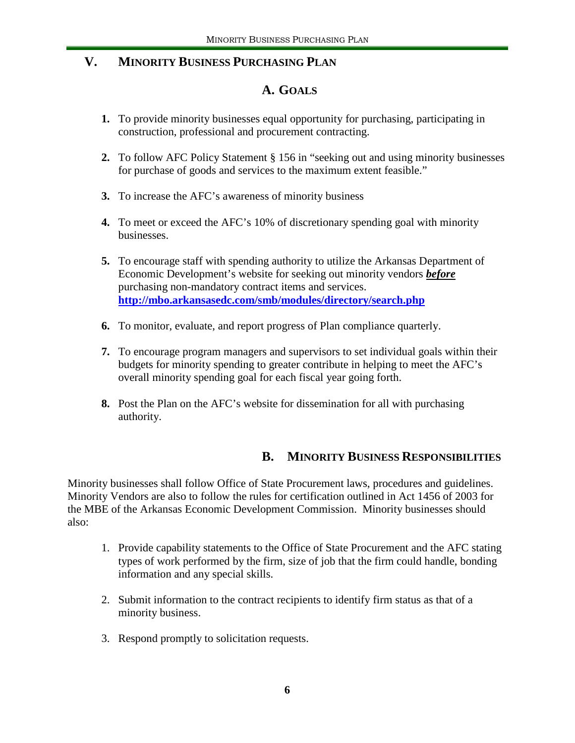#### **V. MINORITY BUSINESS PURCHASING PLAN**

#### **A. GOALS**

- **1.** To provide minority businesses equal opportunity for purchasing, participating in construction, professional and procurement contracting.
- **2.** To follow AFC Policy Statement § 156 in "seeking out and using minority businesses for purchase of goods and services to the maximum extent feasible."
- **3.** To increase the AFC's awareness of minority business
- **4.** To meet or exceed the AFC's 10% of discretionary spending goal with minority businesses.
- **5.** To encourage staff with spending authority to utilize the Arkansas Department of Economic Development's website for seeking out minority vendors *before* purchasing non-mandatory contract items and services. **<http://mbo.arkansasedc.com/smb/modules/directory/search.php>**
- **6.** To monitor, evaluate, and report progress of Plan compliance quarterly.
- **7.** To encourage program managers and supervisors to set individual goals within their budgets for minority spending to greater contribute in helping to meet the AFC's overall minority spending goal for each fiscal year going forth.
- **8.** Post the Plan on the AFC's website for dissemination for all with purchasing authority.

#### **B. MINORITY BUSINESS RESPONSIBILITIES**

Minority businesses shall follow Office of State Procurement laws, procedures and guidelines. Minority Vendors are also to follow the rules for certification outlined in Act 1456 of 2003 for the MBE of the Arkansas Economic Development Commission. Minority businesses should also:

- 1. Provide capability statements to the Office of State Procurement and the AFC stating types of work performed by the firm, size of job that the firm could handle, bonding information and any special skills.
- 2. Submit information to the contract recipients to identify firm status as that of a minority business.
- 3. Respond promptly to solicitation requests.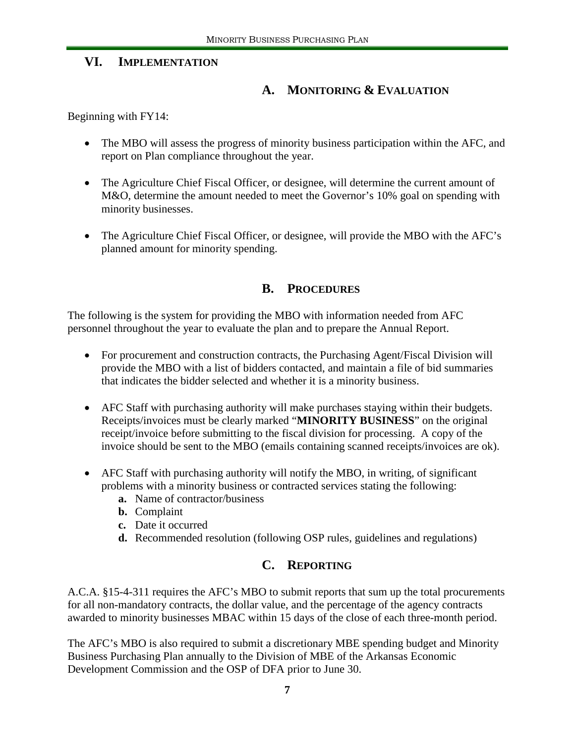#### **VI. IMPLEMENTATION**

#### **A. MONITORING & EVALUATION**

Beginning with FY14:

- The MBO will assess the progress of minority business participation within the AFC, and report on Plan compliance throughout the year.
- The Agriculture Chief Fiscal Officer, or designee, will determine the current amount of M&O, determine the amount needed to meet the Governor's 10% goal on spending with minority businesses.
- The Agriculture Chief Fiscal Officer, or designee, will provide the MBO with the AFC's planned amount for minority spending.

#### **B. PROCEDURES**

The following is the system for providing the MBO with information needed from AFC personnel throughout the year to evaluate the plan and to prepare the Annual Report.

- For procurement and construction contracts, the Purchasing Agent/Fiscal Division will provide the MBO with a list of bidders contacted, and maintain a file of bid summaries that indicates the bidder selected and whether it is a minority business.
- AFC Staff with purchasing authority will make purchases staying within their budgets. Receipts/invoices must be clearly marked "**MINORITY BUSINESS**" on the original receipt/invoice before submitting to the fiscal division for processing. A copy of the invoice should be sent to the MBO (emails containing scanned receipts/invoices are ok).
- AFC Staff with purchasing authority will notify the MBO, in writing, of significant problems with a minority business or contracted services stating the following:
	- **a.** Name of contractor/business
	- **b.** Complaint
	- **c.** Date it occurred
	- **d.** Recommended resolution (following OSP rules, guidelines and regulations)

#### **C. REPORTING**

A.C.A. §15-4-311 requires the AFC's MBO to submit reports that sum up the total procurements for all non-mandatory contracts, the dollar value, and the percentage of the agency contracts awarded to minority businesses MBAC within 15 days of the close of each three-month period.

The AFC's MBO is also required to submit a discretionary MBE spending budget and Minority Business Purchasing Plan annually to the Division of MBE of the Arkansas Economic Development Commission and the OSP of DFA prior to June 30.